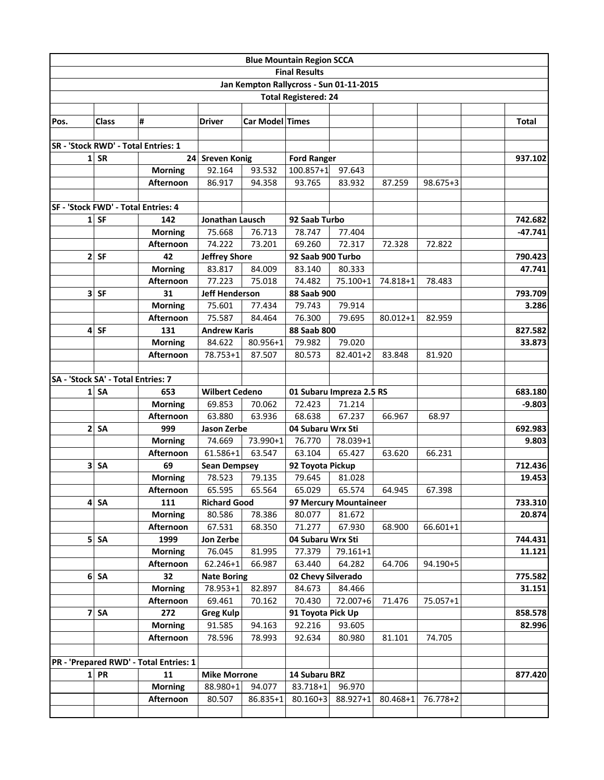|                                     |                                     |                                        |                            |                 | <b>Blue Mountain Region SCCA</b> |                                         |              |          |              |
|-------------------------------------|-------------------------------------|----------------------------------------|----------------------------|-----------------|----------------------------------|-----------------------------------------|--------------|----------|--------------|
|                                     |                                     |                                        |                            |                 | <b>Final Results</b>             |                                         |              |          |              |
|                                     |                                     |                                        |                            |                 |                                  | Jan Kempton Rallycross - Sun 01-11-2015 |              |          |              |
| <b>Total Registered: 24</b>         |                                     |                                        |                            |                 |                                  |                                         |              |          |              |
| Pos.                                | <b>Class</b>                        | #                                      | <b>Driver</b>              | Car Model Times |                                  |                                         |              |          | <b>Total</b> |
|                                     |                                     |                                        |                            |                 |                                  |                                         |              |          |              |
| SR - 'Stock RWD' - Total Entries: 1 |                                     |                                        |                            |                 |                                  |                                         |              |          |              |
| 1                                   | <b>SR</b>                           |                                        | 24 Sreven Konig            |                 | <b>Ford Ranger</b>               |                                         |              |          | 937.102      |
|                                     |                                     | <b>Morning</b>                         | 92.164                     | 93.532          | $100.857 + 1$                    | 97.643                                  |              |          |              |
|                                     |                                     | Afternoon                              | 86.917                     | 94.358          | 93.765                           | 83.932                                  | 87.259       | 98.675+3 |              |
|                                     |                                     |                                        |                            |                 |                                  |                                         |              |          |              |
|                                     | SF - 'Stock FWD' - Total Entries: 4 |                                        |                            |                 |                                  |                                         |              |          |              |
|                                     | $1$ SF                              | 142<br>Jonathan Lausch                 |                            |                 |                                  | 92 Saab Turbo                           |              |          | 742.682      |
|                                     |                                     | <b>Morning</b>                         | 75.668                     | 76.713          | 78.747                           | 77.404                                  |              |          | $-47.741$    |
|                                     |                                     | Afternoon                              | 74.222                     | 73.201          | 69.260                           | 72.317                                  | 72.328       | 72.822   |              |
| $\overline{2}$                      | <b>SF</b>                           | 42                                     | <b>Jeffrey Shore</b>       |                 | 92 Saab 900 Turbo                |                                         |              |          | 790.423      |
|                                     |                                     | <b>Morning</b>                         | 83.817                     | 84.009          | 83.140                           | 80.333                                  |              |          | 47.741       |
|                                     |                                     | Afternoon                              | 77.223                     | 75.018          | 74.482                           | 75.100+1                                | 74.818+1     | 78.483   |              |
|                                     | $3$ SF                              | 31                                     | <b>Jeff Henderson</b>      |                 | 88 Saab 900                      |                                         |              |          | 793.709      |
|                                     |                                     | <b>Morning</b>                         | 75.601                     | 77.434          | 79.743                           | 79.914                                  |              |          | 3.286        |
|                                     |                                     | Afternoon                              | 75.587                     | 84.464          | 76.300                           | 79.695                                  | $80.012 + 1$ | 82.959   |              |
| 4                                   | <b>SF</b>                           | 131                                    | <b>Andrew Karis</b>        |                 | 88 Saab 800                      |                                         |              |          | 827.582      |
|                                     |                                     | <b>Morning</b>                         | 84.622                     | 80.956+1        | 79.982                           | 79.020                                  |              |          | 33.873       |
|                                     |                                     | Afternoon                              | 78.753+1                   | 87.507          | 80.573                           | 82.401+2                                | 83.848       | 81.920   |              |
| SA - 'Stock SA' - Total Entries: 7  |                                     |                                        |                            |                 |                                  |                                         |              |          |              |
| $\mathbf{1}$                        | <b>SA</b>                           | 653                                    | <b>Wilbert Cedeno</b>      |                 | 01 Subaru Impreza 2.5 RS         |                                         |              |          | 683.180      |
|                                     |                                     | <b>Morning</b>                         | 69.853                     | 70.062          | 72.423<br>71.214                 |                                         |              |          | $-9.803$     |
|                                     |                                     | Afternoon                              | 63.880                     | 63.936          | 68.638                           | 67.237                                  | 66.967       | 68.97    |              |
| $\mathbf{2}$                        | <b>SA</b>                           | 999                                    | Jason Zerbe                |                 | 04 Subaru Wrx Sti                |                                         |              |          | 692.983      |
|                                     |                                     | <b>Morning</b>                         | 74.669                     | 73.990+1        | 76.770<br>78.039+1               |                                         |              |          | 9.803        |
|                                     |                                     | Afternoon                              | 61.586+1                   | 63.547          | 63.104                           | 65.427                                  | 63.620       | 66.231   |              |
| 3                                   | SA                                  | 69                                     | <b>Sean Dempsey</b>        |                 | 92 Toyota Pickup                 |                                         |              |          | 712.436      |
|                                     |                                     | <b>Morning</b>                         | 78.523                     | 79.135          | 79.645                           | 81.028                                  |              |          | 19.453       |
|                                     |                                     | Afternoon                              | 65.595                     | 65.564          | 65.029                           | 65.574                                  | 64.945       | 67.398   |              |
| 4                                   | <b>SA</b>                           | 111                                    | <b>Richard Good</b>        |                 |                                  | 97 Mercury Mountaineer                  |              |          | 733.310      |
|                                     |                                     | <b>Morning</b>                         | 80.586                     | 78.386          | 80.077                           | 81.672                                  |              |          | 20.874       |
|                                     |                                     | Afternoon                              | 67.531                     | 68.350          | 71.277                           | 67.930                                  | 68.900       | 66.601+1 |              |
|                                     | $5$ SA                              | 1999                                   | Jon Zerbe                  |                 | 04 Subaru Wrx Sti                |                                         |              |          | 744.431      |
|                                     |                                     | <b>Morning</b>                         | 76.045                     | 81.995          | 77.379                           | 79.161+1                                |              |          | 11.121       |
|                                     |                                     | Afternoon                              | $62.246 + 1$               | 66.987          | 63.440                           | 64.282                                  | 64.706       | 94.190+5 |              |
|                                     | $6$ SA                              | 32                                     | <b>Nate Boring</b>         |                 | 02 Chevy Silverado               |                                         |              |          | 775.582      |
|                                     |                                     | <b>Morning</b>                         | 78.953+1                   | 82.897          | 84.673                           | 84.466                                  |              |          | 31.151       |
| 7                                   | <b>SA</b>                           | Afternoon<br>272                       | 69.461<br><b>Greg Kulp</b> | 70.162          | 70.430<br>91 Toyota Pick Up      | 72.007+6                                | 71.476       | 75.057+1 | 858.578      |
|                                     |                                     | <b>Morning</b>                         | 91.585                     | 94.163          | 92.216                           | 93.605                                  |              |          | 82.996       |
|                                     |                                     | Afternoon                              | 78.596                     | 78.993          | 92.634                           | 80.980                                  | 81.101       | 74.705   |              |
|                                     |                                     |                                        |                            |                 |                                  |                                         |              |          |              |
|                                     |                                     | PR - 'Prepared RWD' - Total Entries: 1 |                            |                 |                                  |                                         |              |          |              |
|                                     | $1$ PR                              | <b>Mike Morrone</b><br>11              |                            |                 | 14 Subaru BRZ                    |                                         |              |          | 877.420      |
|                                     |                                     | <b>Morning</b>                         | 88.980+1                   | 94.077          | 83.718+1                         | 96.970                                  |              |          |              |
|                                     |                                     | Afternoon                              | 80.507                     | 86.835+1        | $80.160 + 3$                     | 88.927+1                                | $80.468 + 1$ | 76.778+2 |              |
|                                     |                                     |                                        |                            |                 |                                  |                                         |              |          |              |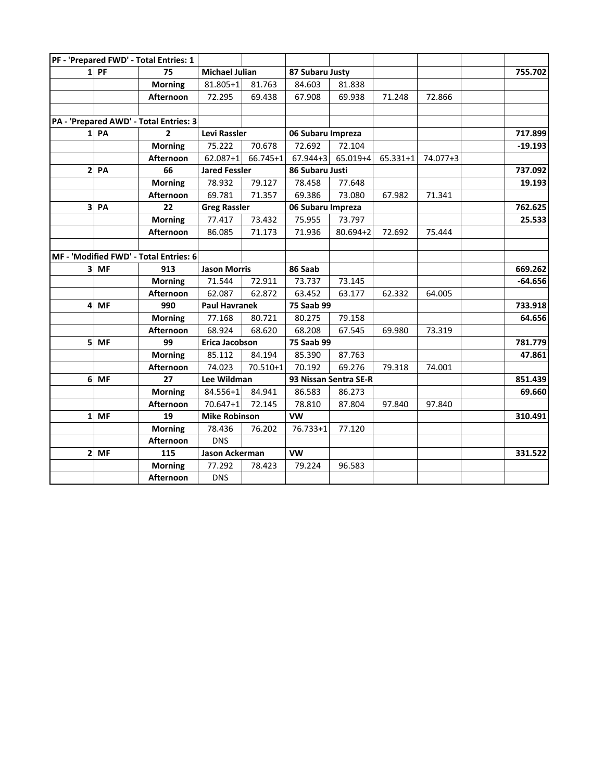|                          | PF - 'Prepared FWD' - Total Entries: 1 |                       |              |                       |              |          |          |           |
|--------------------------|----------------------------------------|-----------------------|--------------|-----------------------|--------------|----------|----------|-----------|
| $1$ PF                   | 75                                     | <b>Michael Julian</b> |              | 87 Subaru Justy       |              |          |          | 755.702   |
|                          | <b>Morning</b>                         | 81.805+1              | 81.763       | 84.603                | 81.838       |          |          |           |
|                          | Afternoon                              | 72.295                | 69.438       | 67.908                | 69.938       | 71.248   | 72.866   |           |
|                          |                                        |                       |              |                       |              |          |          |           |
|                          | PA - 'Prepared AWD' - Total Entries: 3 |                       |              |                       |              |          |          |           |
| $1$ PA<br>$\overline{2}$ |                                        | <b>Levi Rassler</b>   |              | 06 Subaru Impreza     |              |          |          | 717.899   |
|                          | <b>Morning</b>                         | 75.222                | 70.678       | 72.692                | 72.104       |          |          | $-19.193$ |
|                          | Afternoon                              | $62.087 + 1$          | 66.745+1     | $67.944 + 3$          | $65.019 + 4$ | 65.331+1 | 74.077+3 |           |
| $2$ PA                   | 66                                     | <b>Jared Fessler</b>  |              | 86 Subaru Justi       |              |          |          | 737.092   |
|                          | <b>Morning</b>                         | 78.932                | 79.127       | 78.458                | 77.648       |          |          | 19.193    |
|                          | Afternoon                              | 69.781                | 71.357       | 69.386                | 73.080       | 67.982   | 71.341   |           |
| 3 PA                     | 22                                     | <b>Greg Rassler</b>   |              | 06 Subaru Impreza     |              |          |          | 762.625   |
|                          | <b>Morning</b>                         | 77.417                | 73.432       | 75.955                | 73.797       |          |          | 25.533    |
|                          | Afternoon                              | 86.085                | 71.173       | 71.936                | $80.694 + 2$ | 72.692   | 75.444   |           |
|                          |                                        |                       |              |                       |              |          |          |           |
|                          | MF - 'Modified FWD' - Total Entries: 6 |                       |              |                       |              |          |          |           |
| 3 MF                     | 913                                    | <b>Jason Morris</b>   |              | 86 Saab               |              |          |          | 669.262   |
|                          | <b>Morning</b>                         | 71.544                | 72.911       | 73.737                | 73.145       |          |          | $-64.656$ |
|                          | Afternoon                              | 62.087                | 62.872       | 63.452                | 63.177       | 62.332   | 64.005   |           |
| $4$ MF                   | 990                                    | <b>Paul Havranek</b>  |              | 75 Saab 99            |              |          |          | 733.918   |
|                          | <b>Morning</b>                         | 77.168                | 80.721       | 80.275                | 79.158       |          |          | 64.656    |
|                          | Afternoon                              | 68.924                | 68.620       | 68.208                | 67.545       | 69.980   | 73.319   |           |
| 5 MF                     | 99                                     | Erica Jacobson        |              | 75 Saab 99            |              |          | 781.779  |           |
|                          | <b>Morning</b>                         | 85.112                | 84.194       | 85.390                | 87.763       |          |          | 47.861    |
|                          | Afternoon                              | 74.023                | $70.510 + 1$ | 70.192                | 69.276       | 79.318   | 74.001   |           |
| $6$ MF                   | 27                                     | Lee Wildman           |              | 93 Nissan Sentra SE-R |              |          |          | 851.439   |
|                          | <b>Morning</b>                         | 84.556+1              | 84.941       | 86.583                | 86.273       |          |          | 69.660    |
|                          | Afternoon                              | $70.647 + 1$          | 72.145       | 78.810                | 87.804       | 97.840   | 97.840   |           |
| $1$ MF                   | 19                                     | <b>Mike Robinson</b>  |              | <b>VW</b>             |              |          |          | 310.491   |
|                          | <b>Morning</b>                         | 78.436                | 76.202       | 76.733+1              | 77.120       |          |          |           |
|                          | Afternoon                              | <b>DNS</b>            |              |                       |              |          |          |           |
| $2$ MF                   | 115                                    | Jason Ackerman        |              | <b>VW</b>             |              |          |          | 331.522   |
|                          | <b>Morning</b>                         | 77.292                | 78.423       | 79.224                | 96.583       |          |          |           |
|                          | Afternoon                              | <b>DNS</b>            |              |                       |              |          |          |           |